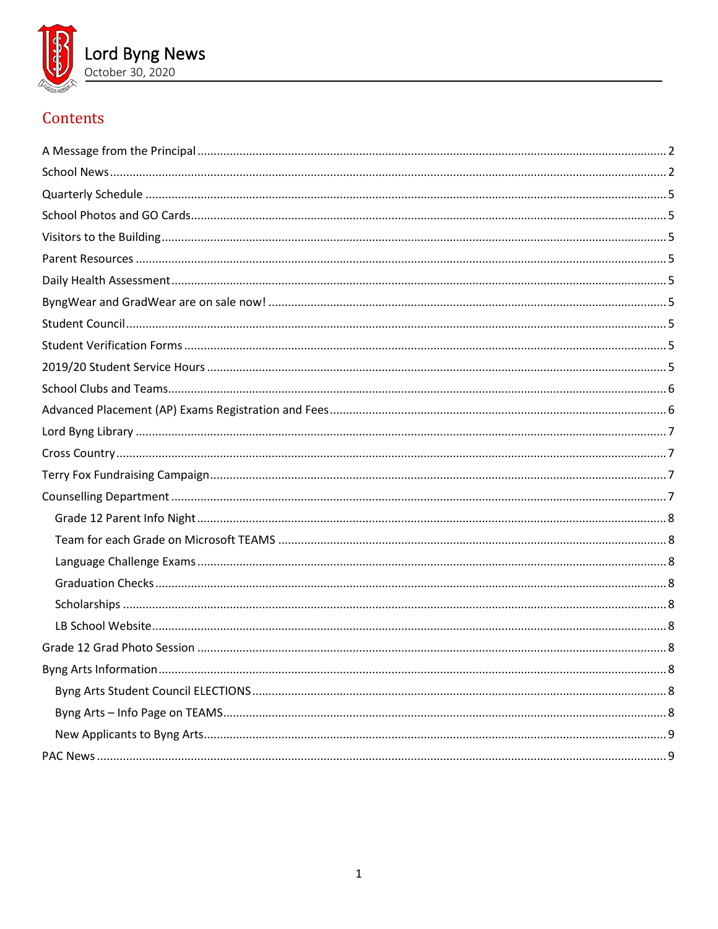

# Contents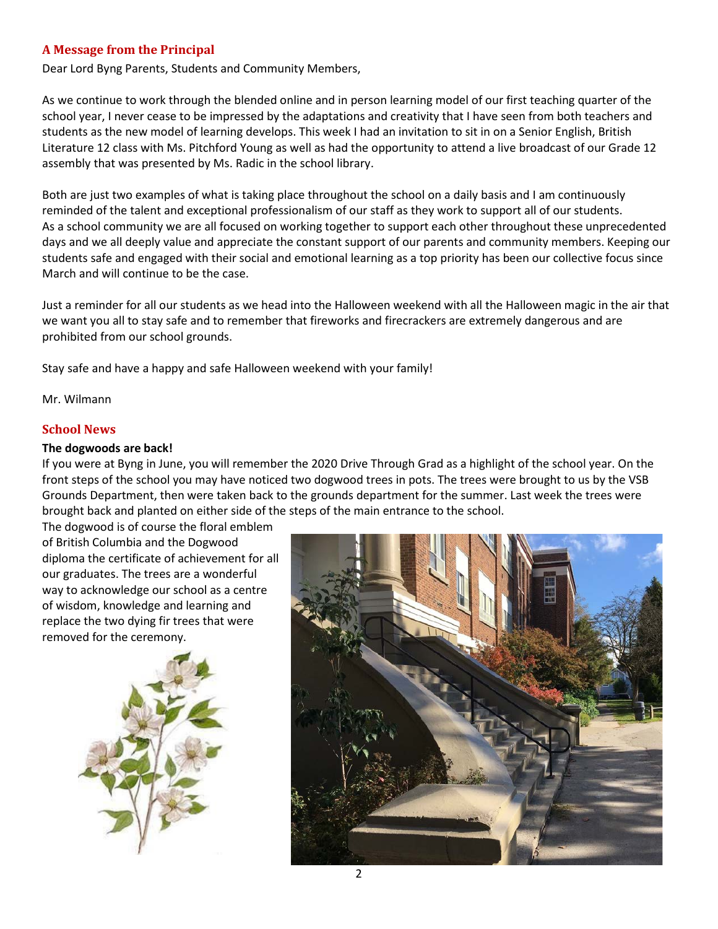## <span id="page-1-0"></span>**A Message from the Principal**

Dear Lord Byng Parents, Students and Community Members,

As we continue to work through the blended online and in person learning model of our first teaching quarter of the school year, I never cease to be impressed by the adaptations and creativity that I have seen from both teachers and students as the new model of learning develops. This week I had an invitation to sit in on a Senior English, British Literature 12 class with Ms. Pitchford Young as well as had the opportunity to attend a live broadcast of our Grade 12 assembly that was presented by Ms. Radic in the school library.

Both are just two examples of what is taking place throughout the school on a daily basis and I am continuously reminded of the talent and exceptional professionalism of our staff as they work to support all of our students. As a school community we are all focused on working together to support each other throughout these unprecedented days and we all deeply value and appreciate the constant support of our parents and community members. Keeping our students safe and engaged with their social and emotional learning as a top priority has been our collective focus since March and will continue to be the case.

Just a reminder for all our students as we head into the Halloween weekend with all the Halloween magic in the air that we want you all to stay safe and to remember that fireworks and firecrackers are extremely dangerous and are prohibited from our school grounds.

Stay safe and have a happy and safe Halloween weekend with your family!

<span id="page-1-1"></span>Mr. Wilmann

#### **School News**

#### **The dogwoods are back!**

If you were at Byng in June, you will remember the 2020 Drive Through Grad as a highlight of the school year. On the front steps of the school you may have noticed two dogwood trees in pots. The trees were brought to us by the VSB Grounds Department, then were taken back to the grounds department for the summer. Last week the trees were brought back and planted on either side of the steps of the main entrance to the school.

The dogwood is of course the floral emblem of British Columbia and the Dogwood diploma the certificate of achievement for all our graduates. The trees are a wonderful way to acknowledge our school as a centre of wisdom, knowledge and learning and replace the two dying fir trees that were removed for the ceremony.



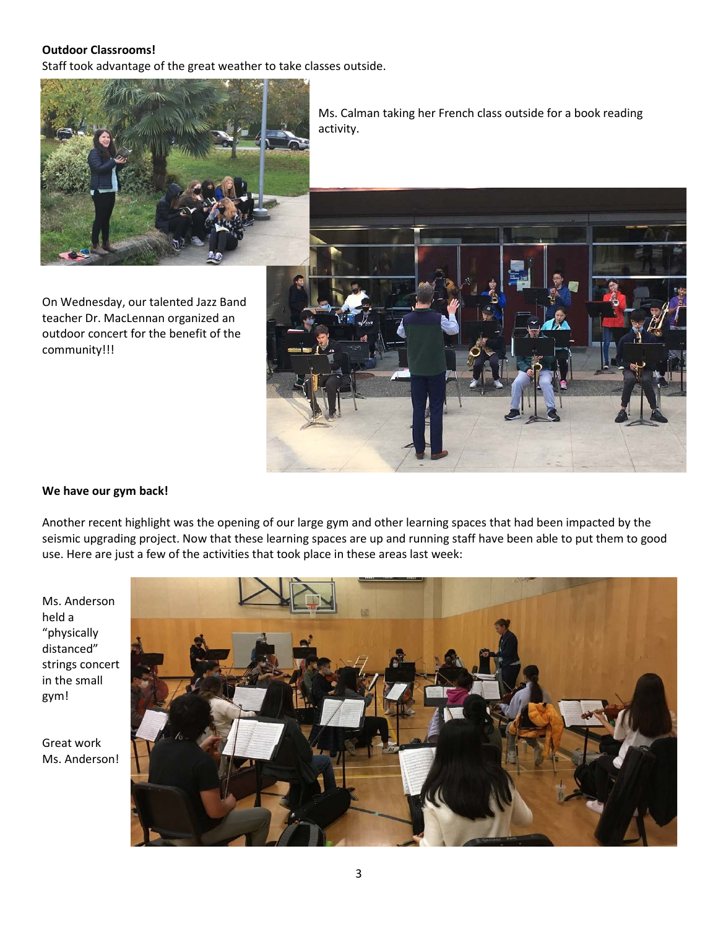## **Outdoor Classrooms!**

Staff took advantage of the great weather to take classes outside.



On Wednesday, our talented Jazz Band teacher Dr. MacLennan organized an outdoor concert for the benefit of the community!!!

Ms. Calman taking her French class outside for a book reading activity.



#### **We have our gym back!**

Another recent highlight was the opening of our large gym and other learning spaces that had been impacted by the seismic upgrading project. Now that these learning spaces are up and running staff have been able to put them to good use. Here are just a few of the activities that took place in these areas last week:

Ms. Anderson held a "physically distanced" strings concert in the small gym!

Great work Ms. Anderson!

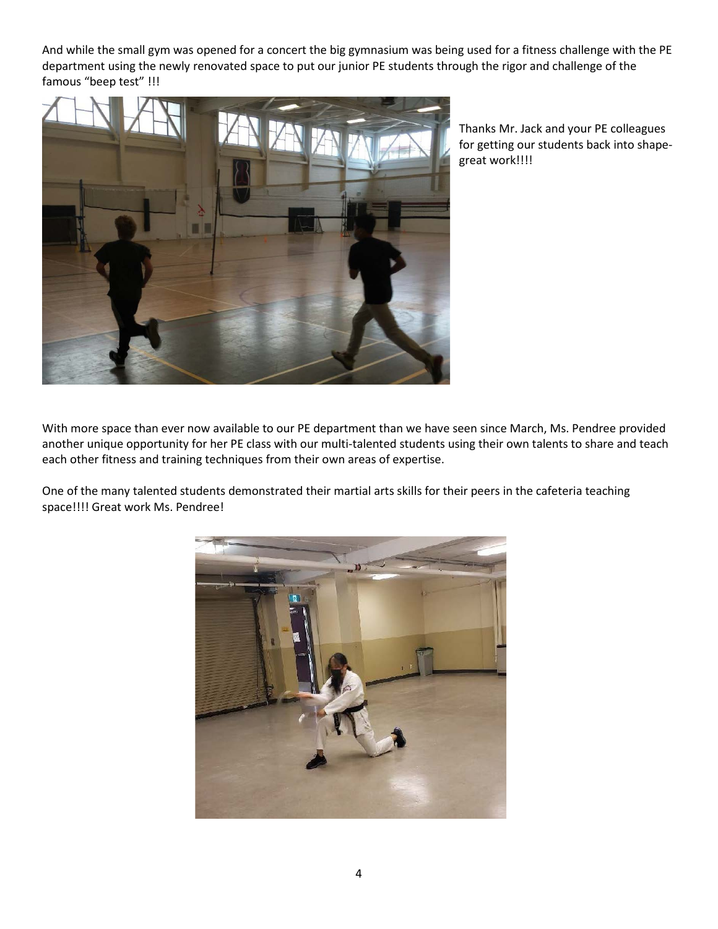And while the small gym was opened for a concert the big gymnasium was being used for a fitness challenge with the PE department using the newly renovated space to put our junior PE students through the rigor and challenge of the famous "beep test" !!!



Thanks Mr. Jack and your PE colleagues for getting our students back into shapegreat work!!!!

With more space than ever now available to our PE department than we have seen since March, Ms. Pendree provided another unique opportunity for her PE class with our multi-talented students using their own talents to share and teach each other fitness and training techniques from their own areas of expertise.

One of the many talented students demonstrated their martial arts skills for their peers in the cafeteria teaching space!!!! Great work Ms. Pendree!

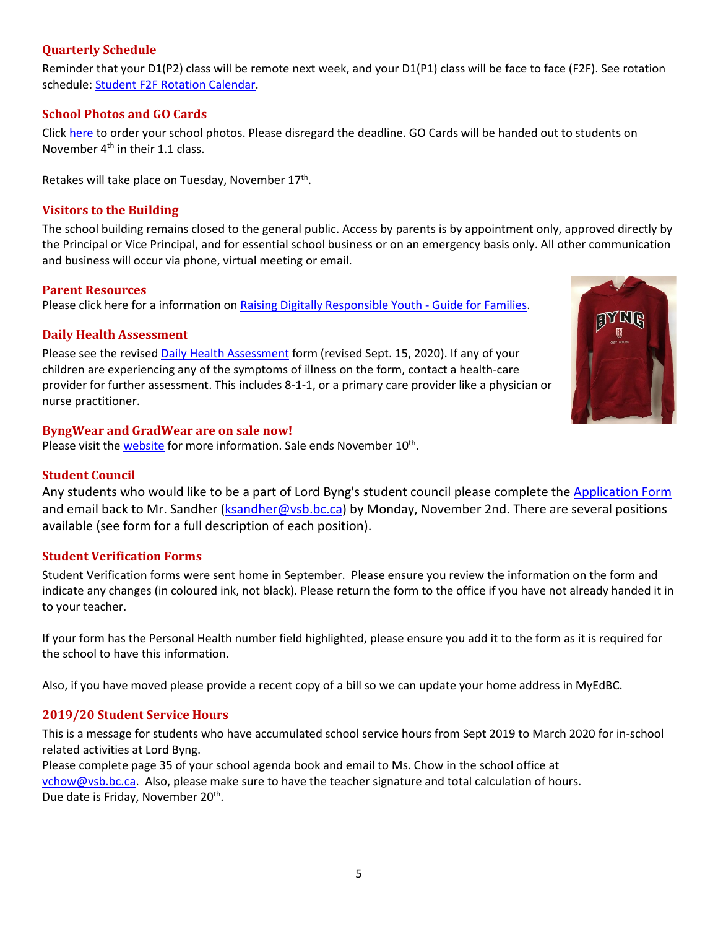## <span id="page-4-0"></span>**Quarterly Schedule**

Reminder that your D1(P2) class will be remote next week, and your D1(P1) class will be face to face (F2F). See rotation schedule: [Student F2F Rotation Calendar.](https://www.vsb.bc.ca/repository/SBAttachments/8e11130a-23bc-4157-9294-1c252018cc4d_STUDENTF2FandRemoteBlockCalendar2020-2021.pdf)

## <span id="page-4-1"></span>**School Photos and GO Cards**

Click [here](https://artona.com/schools/BYNG/programs/school_photo) to order your school photos. Please disregard the deadline. GO Cards will be handed out to students on November  $4<sup>th</sup>$  in their 1.1 class.

<span id="page-4-2"></span>Retakes will take place on Tuesday, November 17<sup>th</sup>.

## **Visitors to the Building**

The school building remains closed to the general public. Access by parents is by appointment only, approved directly by the Principal or Vice Principal, and for essential school business or on an emergency basis only. All other communication and business will occur via phone, virtual meeting or email.

#### <span id="page-4-3"></span>**Parent Resources**

<span id="page-4-4"></span>Please click here for a information on Raising [Digitally Responsible Youth -](https://saferschoolstogether.com/wp-content/uploads/2020/03/Raising-Digitally-Responsible-Youth-Guide-2020.pdf) Guide for Families.

## **Daily Health Assessment**

Please see the revised [Daily Health Assessment](https://www.vsb.bc.ca/repository/SBAttachments/8e11130a-23bc-4157-9294-1c252018cc4d_DailyHealthAssessment-Student_Sept15003.pdf) form (revised Sept. 15, 2020). If any of your children are experiencing any of the symptoms of illness on the form, contact a health-care provider for further assessment. This includes 8-1-1, or a primary care provider like a physician or nurse practitioner.



## <span id="page-4-5"></span>**ByngWear and GradWear are on sale now!**

<span id="page-4-6"></span>Please visit the [website](https://www.vsb.bc.ca/schools/lord-byng/About-Us/news/_layouts/15/ci/post.aspx?oaid=b3f94390-36b9-48ba-9b0b-57e4d73adb4e&oact=20001) for more information. Sale ends November 10<sup>th</sup>.

## **Student Council**

Any students who would like to be a part of Lord Byng's student council please complete the [Application Form](https://www.vsb.bc.ca/schools/lord-byng/Guidance-and-Support/Student-Council/Documents/sbfile/201021/Student%20Council%20grade%20rep%20application%202020_1.pdf) and email back to Mr. Sandher [\(ksandher@vsb.bc.ca\)](mailto:ksandher@vsb.bc.ca) by Monday, November 2nd. There are several positions available (see form for a full description of each position).

## <span id="page-4-7"></span>**Student Verification Forms**

Student Verification forms were sent home in September. Please ensure you review the information on the form and indicate any changes (in coloured ink, not black). Please return the form to the office if you have not already handed it in to your teacher.

If your form has the Personal Health number field highlighted, please ensure you add it to the form as it is required for the school to have this information.

<span id="page-4-8"></span>Also, if you have moved please provide a recent copy of a bill so we can update your home address in MyEdBC.

## **2019/20 Student Service Hours**

This is a message for students who have accumulated school service hours from Sept 2019 to March 2020 for in-school related activities at Lord Byng.

Please complete page 35 of your school agenda book and email to Ms. Chow in the school office at [vchow@vsb.bc.ca.](mailto:vchow@vsb.bc.ca) Also, please make sure to have the teacher signature and total calculation of hours. Due date is Friday, November 20<sup>th</sup>.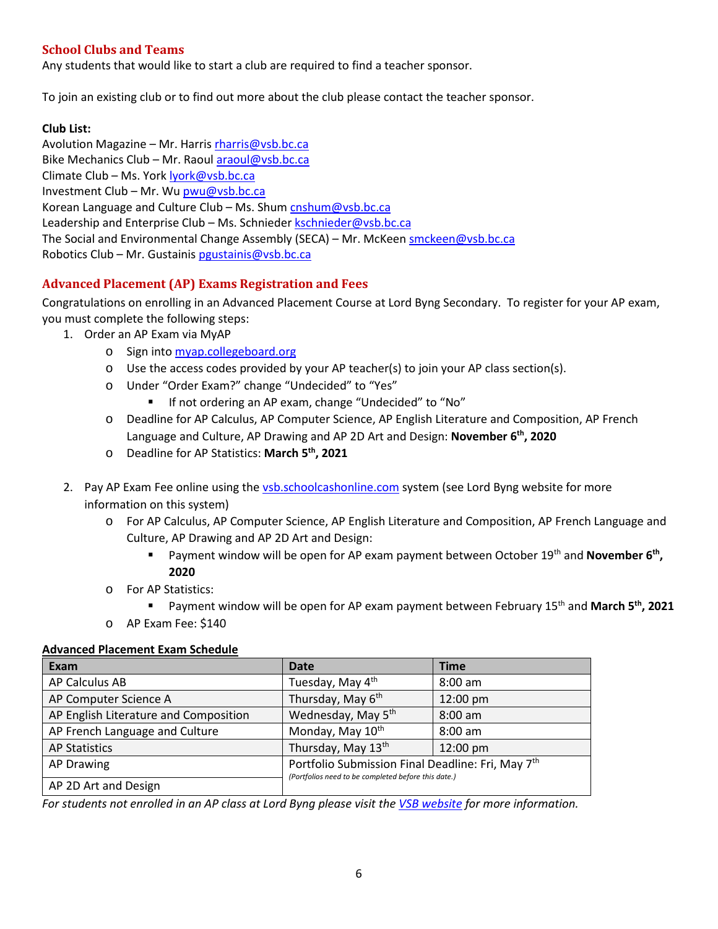# <span id="page-5-0"></span>**School Clubs and Teams**

Any students that would like to start a club are required to find a teacher sponsor.

To join an existing club or to find out more about the club please contact the teacher sponsor.

## **Club List:**

Avolution Magazine – Mr. Harris [rharris@vsb.bc.ca](mailto:rharris@vsb.bc.ca) Bike Mechanics Club – Mr. Raou[l araoul@vsb.bc.ca](mailto:araoul@vsb.bc.ca) Climate Club – Ms. Yor[k lyork@vsb.bc.ca](mailto:lyork@vsb.bc.ca) Investment Club – Mr. Wu [pwu@vsb.bc.ca](mailto:pwu@vsb.bc.ca) Korean Language and Culture Club - Ms. Shum [cnshum@vsb.bc.ca](mailto:cnshum@vsb.bc.ca) Leadership and Enterprise Club – Ms. Schniede[r kschnieder@vsb.bc.ca](mailto:kschnieder@vsb.bc.ca) The Social and Environmental Change Assembly (SECA) – Mr. McKeen [smckeen@vsb.bc.ca](mailto:smckeen@vsb.bc.ca) Robotics Club – Mr. Gustaini[s pgustainis@vsb.bc.ca](mailto:pgustainis@vsb.bc.ca)

# <span id="page-5-1"></span>**Advanced Placement (AP) Exams Registration and Fees**

Congratulations on enrolling in an Advanced Placement Course at Lord Byng Secondary. To register for your AP exam, you must complete the following steps:

- 1. Order an AP Exam via MyAP
	- o Sign into [myap.collegeboard.org](https://myap.collegeboard.org/login)
	- $\circ$  Use the access codes provided by your AP teacher(s) to join your AP class section(s).
	- o Under "Order Exam?" change "Undecided" to "Yes"
		- **If not ordering an AP exam, change "Undecided" to "No"**
	- o Deadline for AP Calculus, AP Computer Science, AP English Literature and Composition, AP French Language and Culture, AP Drawing and AP 2D Art and Design: **November 6th, 2020**
	- o Deadline for AP Statistics: **March 5th, 2021**
- 2. Pay AP Exam Fee online using the [vsb.schoolcashonline.com](https://vsb.schoolcashonline.com/) system (see Lord Byng website for more information on this system)
	- o For AP Calculus, AP Computer Science, AP English Literature and Composition, AP French Language and Culture, AP Drawing and AP 2D Art and Design:
		- Payment window will be open for AP exam payment between October 19<sup>th</sup> and **November 6<sup>th</sup>**, **2020**
	- o For AP Statistics:
		- **Payment window will be open for AP exam payment between February 15<sup>th</sup> and March 5<sup>th</sup>, 2021**
	- o AP Exam Fee: \$140

## **Advanced Placement Exam Schedule**

| Exam                                  | <b>Date</b>                                                                                                          | Time              |  |
|---------------------------------------|----------------------------------------------------------------------------------------------------------------------|-------------------|--|
| AP Calculus AB                        | Tuesday, May 4 <sup>th</sup>                                                                                         | $8:00$ am         |  |
| AP Computer Science A                 | Thursday, May 6 <sup>th</sup>                                                                                        | 12:00 pm          |  |
| AP English Literature and Composition | Wednesday, May 5 <sup>th</sup>                                                                                       | $8:00 \text{ am}$ |  |
| AP French Language and Culture        | Monday, May 10th                                                                                                     | $8:00 \text{ am}$ |  |
| <b>AP Statistics</b>                  | Thursday, May 13th                                                                                                   | 12:00 pm          |  |
| <b>AP Drawing</b>                     | Portfolio Submission Final Deadline: Fri, May 7 <sup>th</sup><br>(Portfolios need to be completed before this date.) |                   |  |
| AP 2D Art and Design                  |                                                                                                                      |                   |  |

*For students not enrolled in an AP class at Lord Byng please visit the [VSB website](https://www.vsb.bc.ca/Student_Learning/Secondary/Advanced_Placement_Exams/Pages/Default.aspx) for more information.*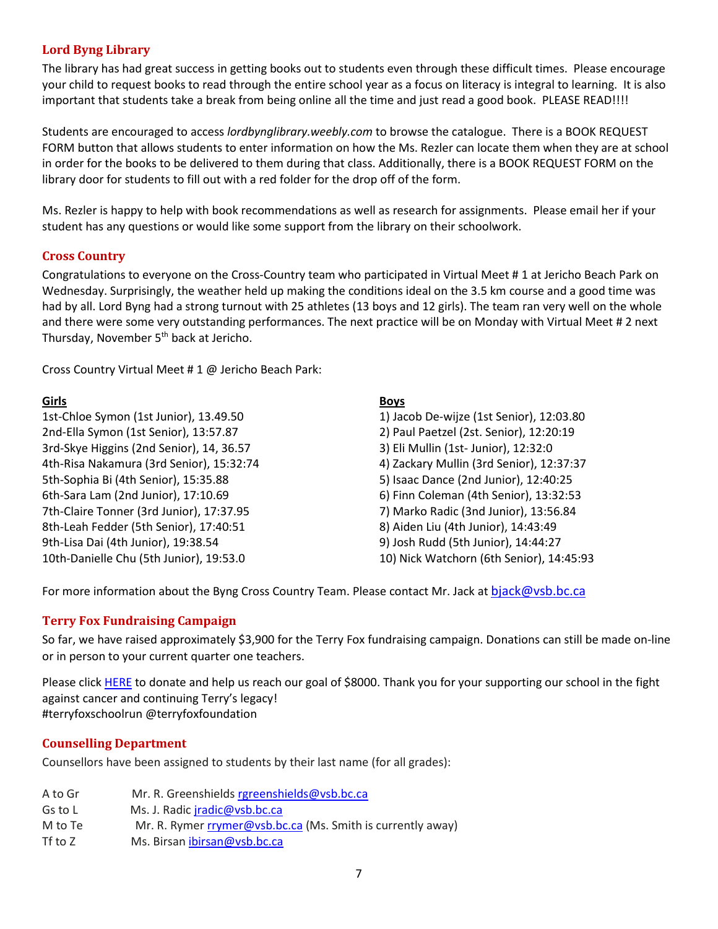# <span id="page-6-0"></span>**Lord Byng Library**

The library has had great success in getting books out to students even through these difficult times. Please encourage your child to request books to read through the entire school year as a focus on literacy is integral to learning. It is also important that students take a break from being online all the time and just read a good book. PLEASE READ!!!!

Students are encouraged to access *lordbynglibrary.weebly.com* to browse the catalogue. There is a BOOK REQUEST FORM button that allows students to enter information on how the Ms. Rezler can locate them when they are at school in order for the books to be delivered to them during that class. Additionally, there is a BOOK REQUEST FORM on the library door for students to fill out with a red folder for the drop off of the form.

Ms. Rezler is happy to help with book recommendations as well as research for assignments. Please email her if your student has any questions or would like some support from the library on their schoolwork.

## <span id="page-6-1"></span>**Cross Country**

Congratulations to everyone on the Cross-Country team who participated in Virtual Meet # 1 at Jericho Beach Park on Wednesday. Surprisingly, the weather held up making the conditions ideal on the 3.5 km course and a good time was had by all. Lord Byng had a strong turnout with 25 athletes (13 boys and 12 girls). The team ran very well on the whole and there were some very outstanding performances. The next practice will be on Monday with Virtual Meet # 2 next Thursday, November 5<sup>th</sup> back at Jericho.

Cross Country Virtual Meet # 1 @ Jericho Beach Park:

## **Girls**

1st-Chloe Symon (1st Junior), 13.49.50 2nd-Ella Symon (1st Senior), 13:57.87 3rd-Skye Higgins (2nd Senior), 14, 36.57 4th-Risa Nakamura (3rd Senior), 15:32:74 5th-Sophia Bi (4th Senior), 15:35.88 6th-Sara Lam (2nd Junior), 17:10.69 7th-Claire Tonner (3rd Junior), 17:37.95 8th-Leah Fedder (5th Senior), 17:40:51 9th-Lisa Dai (4th Junior), 19:38.54 10th-Danielle Chu (5th Junior), 19:53.0

## **Boys**

1) Jacob De-wijze (1st Senior), 12:03.80 2) Paul Paetzel (2st. Senior), 12:20:19 3) Eli Mullin (1st- Junior), 12:32:0 4) Zackary Mullin (3rd Senior), 12:37:37 5) Isaac Dance (2nd Junior), 12:40:25 6) Finn Coleman (4th Senior), 13:32:53 7) Marko Radic (3nd Junior), 13:56.84 8) Aiden Liu (4th Junior), 14:43:49 9) Josh Rudd (5th Junior), 14:44:27 10) Nick Watchorn (6th Senior), 14:45:93

<span id="page-6-2"></span>For more information about the Byng Cross Country Team. Please contact Mr. Jack at [bjack@vsb.bc.ca](mailto:bjack@vsb.bc.ca)

# **Terry Fox Fundraising Campaign**

So far, we have raised approximately \$3,900 for the Terry Fox fundraising campaign. Donations can still be made on-line or in person to your current quarter one teachers.

Please click [HERE](https://secure.terryfox.ca/registrant/TeamFundraisingPage.aspx?TeamID=915903) to donate and help us reach our goal of \$8000. Thank you for your supporting our school in the fight against cancer and continuing Terry's legacy! #terryfoxschoolrun @terryfoxfoundation

# <span id="page-6-3"></span>**Counselling Department**

Counsellors have been assigned to students by their last name (for all grades):

A to Gr Mr. R. Greenshields [rgreenshields@vsb.bc.ca](mailto:rgreenshields@vsb.bc.ca) Gs to L Ms. J. Radic *iradic@vsb.bc.ca* M to Te Mr. R. Rymer [rrymer@vsb.bc.ca](mailto:rrymer@vsb.bc.ca) (Ms. Smith is currently away) Tf to Z Ms. Birsan [ibirsan@vsb.bc.ca](mailto:ibirsan@vsb.bc.ca)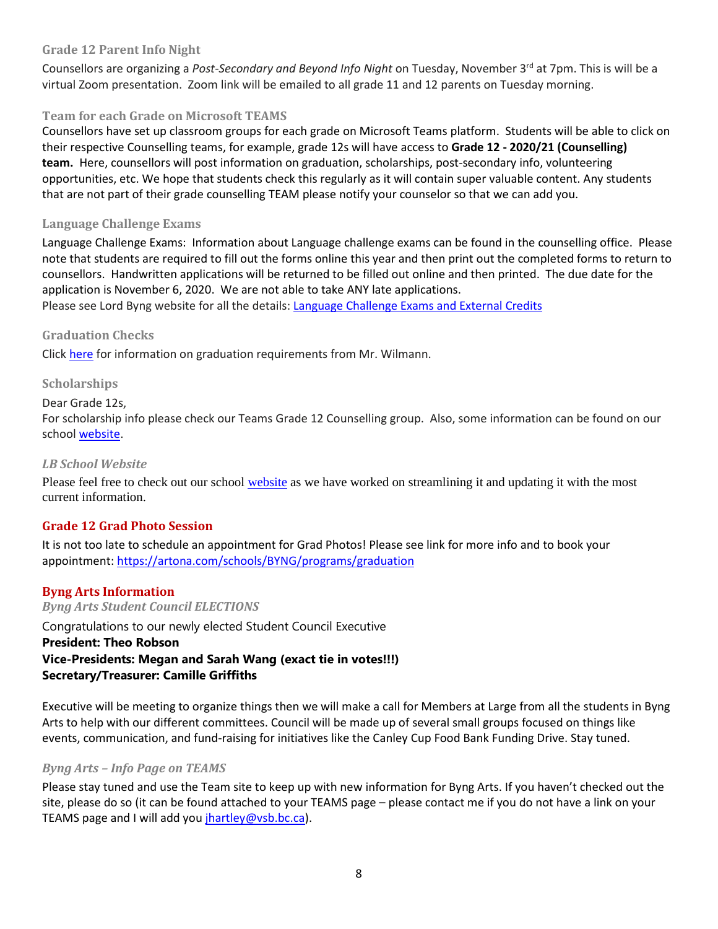## <span id="page-7-0"></span>**Grade 12 Parent Info Night**

Counsellors are organizing a *Post-Secondary and Beyond Info Night* on Tuesday, November 3rd at 7pm. This is will be a virtual Zoom presentation. Zoom link will be emailed to all grade 11 and 12 parents on Tuesday morning.

## <span id="page-7-1"></span>**Team for each Grade on Microsoft TEAMS**

Counsellors have set up classroom groups for each grade on Microsoft Teams platform. Students will be able to click on their respective Counselling teams, for example, grade 12s will have access to **Grade 12 - 2020/21 (Counselling) team.** Here, counsellors will post information on graduation, scholarships, post-secondary info, volunteering opportunities, etc. We hope that students check this regularly as it will contain super valuable content. Any students that are not part of their grade counselling TEAM please notify your counselor so that we can add you.

## <span id="page-7-2"></span>**Language Challenge Exams**

Language Challenge Exams: Information about Language challenge exams can be found in the counselling office. Please note that students are required to fill out the forms online this year and then print out the completed forms to return to counsellors. Handwritten applications will be returned to be filled out online and then printed. The due date for the application is November 6, 2020. We are not able to take ANY late applications.

<span id="page-7-3"></span>Please see Lord Byng website for all the details: [Language Challenge Exams and External Credits](https://www.vsb.bc.ca/schools/lord-byng/Teaching-and-Learning/Classes-and-Departments/Counselling/Pages/Language-Challenge-Exams-and-External-Credits.aspx?rf=830e511d-a1a4-4faf-99d0-28b1736820df)

## **Graduation Checks**

<span id="page-7-4"></span>Click [here](https://www.vsb.bc.ca/schools/lord-byng/Guidance-and-Support/Grade%2012/Documents/sbfile/201020/Grad%20check%20letter%20Oct%202020_1.pdf) for information on graduation requirements from Mr. Wilmann.

## **Scholarships**

## Dear Grade 12s,

For scholarship info please check our Teams Grade 12 Counselling group. Also, some information can be found on our school [website.](https://www.vsb.bc.ca/schools/lord-byng/Teaching-and-Learning/Classes-and-Departments/Counselling/Pages/Scholarships.aspx)

#### <span id="page-7-5"></span>*LB School Website*

Please feel free to check out our school [website](https://www.vsb.bc.ca/schools/lord-byng/Teaching-and-Learning/Classes-and-Departments/Counselling/Pages/default.aspx) as we have worked on streamlining it and updating it with the most current information.

## <span id="page-7-6"></span>**Grade 12 Grad Photo Session**

It is not too late to schedule an appointment for Grad Photos! Please see link for more info and to book your appointment:<https://artona.com/schools/BYNG/programs/graduation>

# <span id="page-7-7"></span>**Byng Arts Information**

<span id="page-7-8"></span>*Byng Arts Student Council ELECTIONS*  Congratulations to our newly elected Student Council Executive **President: Theo Robson Vice-Presidents: Megan and Sarah Wang (exact tie in votes!!!) Secretary/Treasurer: Camille Griffiths**

Executive will be meeting to organize things then we will make a call for Members at Large from all the students in Byng Arts to help with our different committees. Council will be made up of several small groups focused on things like events, communication, and fund-raising for initiatives like the Canley Cup Food Bank Funding Drive. Stay tuned.

## <span id="page-7-9"></span>*Byng Arts – Info Page on TEAMS*

Please stay tuned and use the Team site to keep up with new information for Byng Arts. If you haven't checked out the site, please do so (it can be found attached to your TEAMS page – please contact me if you do not have a link on your TEAMS page and I will add you [jhartley@vsb.bc.ca\)](mailto:jhartley@vsb.bc.ca).